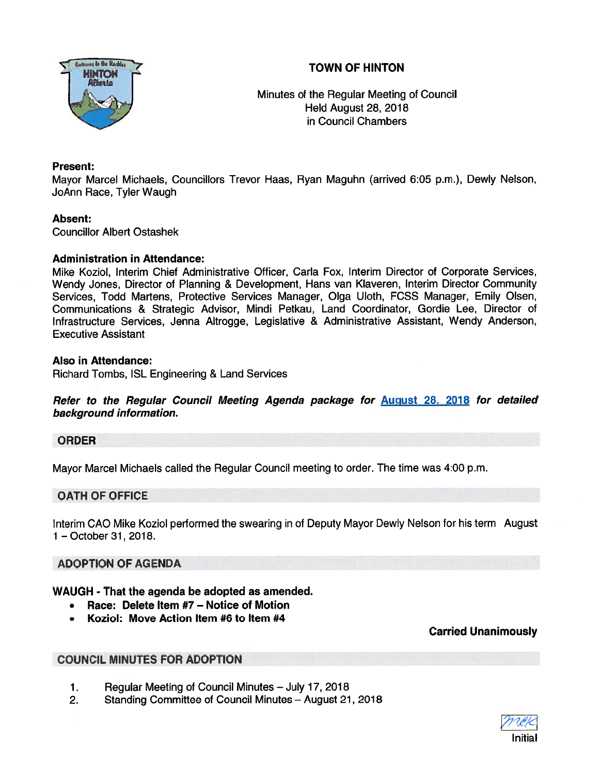# TOWN OF HINTON



Minutes of the Regular Meeting of Council Held August 28, 2018 in Council Chambers

#### Present:

Mayor Marcel Michaels, Councillors Trevor Haas, Ryan Maguhn (arrived 6:05 p.m.), Dewly Nelson, JoAnn Race, Tyler Waugh

#### Absent:

Councillor Albert Ostashek

#### Administration in Attendance:

Mike Koziol, Interim Chief Administrative Officer, Carla Fox, Interim Director of Corporate Services, Wendy Jones, Director of Planning & Development, Hans van Klaveren, Interim Director Community Services, Todd Martens, Protective Services Manager, Olga Uloth, FCSS Manager, Emily Olsen, Communications & Strategic Advisor, Mindi Petkau, Land Coordinator, Gordie Lee, Director of Infrastructure Services, Jenna Altrogge, Legislative & Administrative Assistant, Wendy Anderson, Executive Assistant

#### Also in Attendance:

Richard Tombs, ISL Engineering & Land Services

Refer to the Regular Council Meeting Agenda package for August 28, <sup>2018</sup> for detailed background information.

# ORDER

Mayor Marcel Michaels called the Regular Council meeting to order. The time was 4:00 p.m.

# OATH OF OFFICE

Interim CAO Mike Koziol performed the swearing in of Deputy Mayor Dewly Nelson for his term August 1 —October31, 2018.

# ADOPTION OF AGENDA

# WAUGH - That the agenda be adopted as amended.

- •Race: Delete Item #7 — Notice of Motion
- •Koziol: Move Action Item #6 to Item #4

Carried Unanimously

# COUNCIL MINUTES FOR ADOPTION

- 1. Regular Meeting of Council Minutes July 17, 2018
- 2. Standing Committee of Council Minutes August 21, 2018

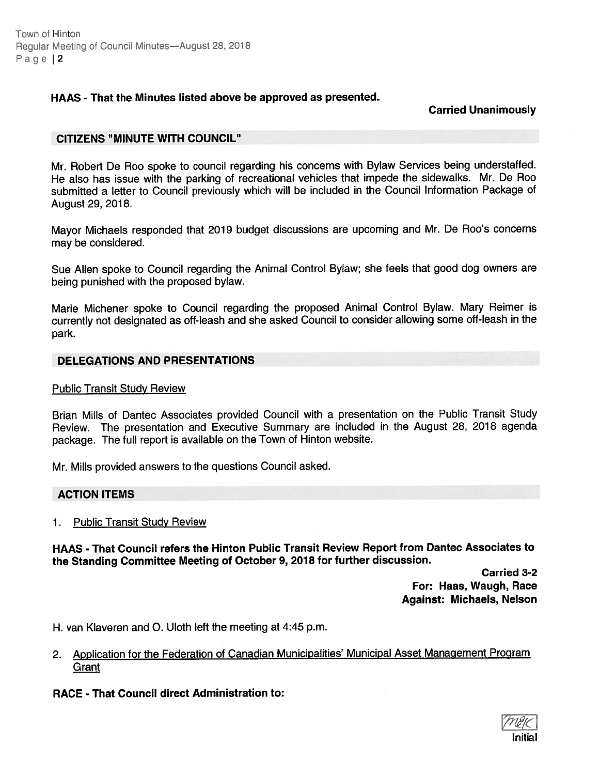Town of Hinton Regular Meeting of Council Minutes—August 28, 2018 Page | 2

# HAAS - That the Minutes listed above be approved as presented.

Carried Unanimously

#### CITIZENS "MINUTE WITH COUNCIL"

Mr. Robert De Roo spoke to council regarding his concerns with Bylaw Services being understaffed. He also has issue with the parking of recreational vehicles that impede the sidewalks. Mr. De Roo submitted <sup>a</sup> letter to Council previously which will be included in the Council Information Package of August 29, 2018.

Mayor Michaels responded that <sup>2019</sup> budget discussions are upcoming and Mr. De Roo's concerns may be considered.

Sue Allen spoke to Council regarding the Animal Control Bylaw; she feels that goo<sup>d</sup> dog owners are being punished with the proposed bylaw.

Marie Michener spoke to Council regarding the propose<sup>d</sup> Animal Control Bylaw. Mary Reimer is currently not designated as off-leash and she asked Council to consider allowing some off-leash in the park.

#### DELEGATIONS AND PRESENTATIONS

#### Public Transit Study Review

Brian Mills of Dantec Associates provided Council with <sup>a</sup> presentation on the Public Transit Study Review. The presentation and Executive Summary are included in the August 28, <sup>2018</sup> agenda package. The full repor<sup>t</sup> is available on the Town of Hinton website.

Mr. Mills provided answers to the questions Council asked.

#### ACTION ITEMS

#### 1. Public Transit Study Review

HAAS - That Council refers the Hinton Public Transit Review Report from Dantec Associates to the Standing Committee Meeting of October 9, <sup>2018</sup> for further discussion.

> Carried 3-2 For: Haas, Waugh, Race Against: Michaels, Nelson

H. van Klaveren and 0. Uloth left the meeting at 4:45 p.m.

2. Application for the Federation of Canadian Municipalities' Municipal Asset Management Program **Grant** 

# RACE - That Council direct Administration to:

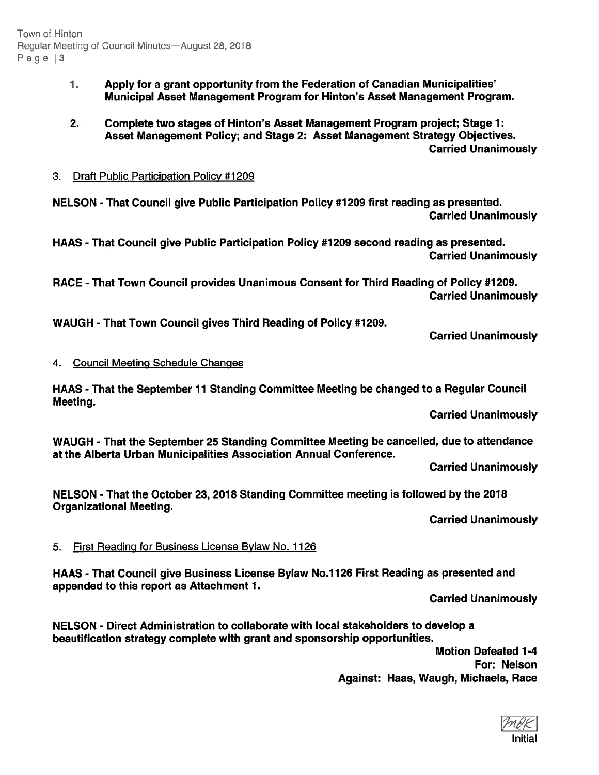- 1. Apply for <sup>a</sup> gran<sup>t</sup> opportunity from the Federation of Canadian Municipalities' Municipal Asset Management Program for Hinton's Asset Management Program.
- 2. Complete two stages of Hinton's Asset Management Program project; Stage 7: Asset Management Policy; and Stage 2: Asset Management Strategy Objectives. Carried Unanimously

# 3. Draft Public Participation Policy #1209

NELSON - That Council give Public Participation Policy #1 209 first reading as presented. Carried Unanimously

HAAS - That Council give Public Participation Policy #1 209 second reading as presented. Carried Unanimously

RACE - That Town Council provides Unanimous Consent for Third Reading of Policy #1209. Carried Unanimously

WAUGH - That Town Council gives Third Reading of Policy #1209.

Carried Unanimously

# 4. Council Meeting Schedule Changes

HAAS -That the September 11 Standing Committee Meeting be changed to <sup>a</sup> Regular Council Meeting.

Carried Unanimously

WAUGH - That the September 25 Standing Committee Meeting be cancelled, due to attendance at the Alberta Urban Municipalities Association Annual Conference.

Carried Unanimously

NELSON - That the October 23, 2018 Standing Committee meeting is followed by the 2018 Organizational Meeting.

Carried Unanimously

# 5. First Reading for Business License Bylaw No. 1126

HAAS -That Council give Business License Bylaw No.1126 First Reading as presented and appended to this repor<sup>t</sup> as Attachment 1.

Carried Unanimously

NELSON - Direct Administration to collaborate with local stakeholders to develop <sup>a</sup> beautification strategy complete with gran<sup>t</sup> and sponsorship opportunities.

> Motion Defeated 1-4 For: Nelson Against: Haas, Waugh, Michaels, Race

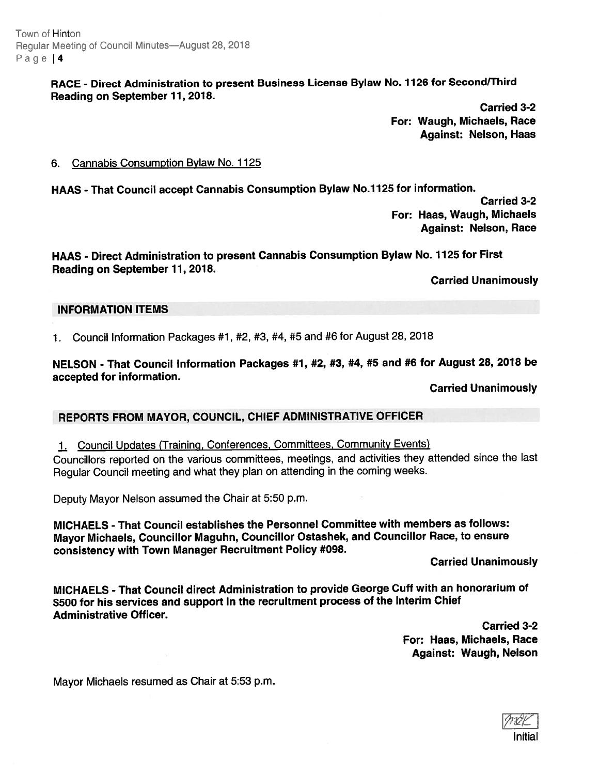Town of Hinton Reqular Meeting of Council Minutes—August 28, 2018 Page | 4

# RACE - Direct Administration to presen<sup>t</sup> Business License Bylaw No. <sup>7126</sup> for Second/Third Reading on September 11,2018.

Carried 3-2 For: Waugh, Michaels, Race Against: Nelson, Haas

#### 6. Cannabis Consumption Bylaw No. 1125

HAAS - That Council accep<sup>t</sup> Cannabis Consumption Bylaw No.1125 for information.

Carried 3-2 For: Haas, Waugh, Michaels Against: Nelson, Race

# HAAS - Direct Administration to presen<sup>t</sup> Cannabis Consumption Bylaw No. <sup>1725</sup> for First Reading on September 11, 2018.

Carried Unanimously

# INFORMATION ITEMS

1. Council Information Packages #1, #2, #3, #4, #5 and #6 for August 28, <sup>2018</sup>

# NELSON - That Council Information Packages #1, #2, #3, #4, #5 and #6 for August 28, 2018 be accepted for information.

Carried Unanimously

# REPORTS FROM MAYOR, COUNCIL, CHIEF ADMINISTRATIVE OFFICER

# 1. Council Updates (Training, Conferences, Committees, Community Events)

Councillors reported on the various committees, meetings, and activities they attended since the last Regular Council meeting and what they <sup>p</sup>lan on attending in the coming weeks.

Deputy Mayor Nelson assumed the Chair at 5:50 p.m.

MICHAELS - That Council establishes the Personnel Committee with members as follows: Mayor Michaels, Councillor Maguhn, Councillor Ostashek, and Councillor Race, to ensure consistency with Town Manager Recruitment Policy #098.

Carried Unanimously

MICHAELS - That Council direct Administration to provide George Cuff with an honorarium of \$500 for his services and suppor<sup>t</sup> in the recruitment process of the Interim Chief Administrative Officer.

Carried 3-2 For: Haas, Michaels, Race Against: Waugh, Nelson

Mayor Michaels resumed as Chair at 5:53 p.m.